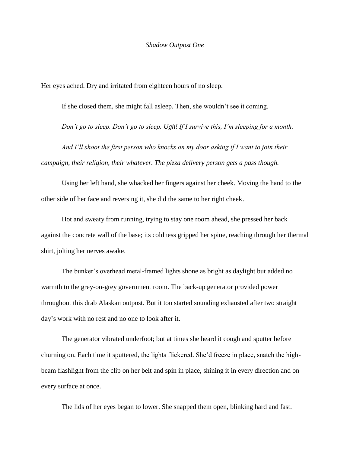Her eyes ached. Dry and irritated from eighteen hours of no sleep.

If she closed them, she might fall asleep. Then, she wouldn't see it coming.

*Don't go to sleep. Don't go to sleep. Ugh! If I survive this, I'm sleeping for a month.*

*And I'll shoot the first person who knocks on my door asking if I want to join their campaign, their religion, their whatever. The pizza delivery person gets a pass though.* 

Using her left hand, she whacked her fingers against her cheek. Moving the hand to the other side of her face and reversing it, she did the same to her right cheek.

Hot and sweaty from running, trying to stay one room ahead, she pressed her back against the concrete wall of the base; its coldness gripped her spine, reaching through her thermal shirt, jolting her nerves awake.

The bunker's overhead metal-framed lights shone as bright as daylight but added no warmth to the grey-on-grey government room. The back-up generator provided power throughout this drab Alaskan outpost. But it too started sounding exhausted after two straight day's work with no rest and no one to look after it.

The generator vibrated underfoot; but at times she heard it cough and sputter before churning on. Each time it sputtered, the lights flickered. She'd freeze in place, snatch the highbeam flashlight from the clip on her belt and spin in place, shining it in every direction and on every surface at once.

The lids of her eyes began to lower. She snapped them open, blinking hard and fast.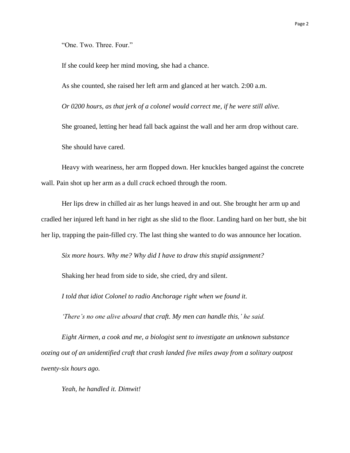"One. Two. Three. Four."

If she could keep her mind moving, she had a chance.

As she counted, she raised her left arm and glanced at her watch. 2:00 a.m.

*Or 0200 hours, as that jerk of a colonel would correct me, if he were still alive.* 

She groaned, letting her head fall back against the wall and her arm drop without care. She should have cared.

Heavy with weariness, her arm flopped down. Her knuckles banged against the concrete wall. Pain shot up her arm as a dull *crack* echoed through the room.

Her lips drew in chilled air as her lungs heaved in and out. She brought her arm up and cradled her injured left hand in her right as she slid to the floor. Landing hard on her butt, she bit her lip, trapping the pain-filled cry. The last thing she wanted to do was announce her location.

*Six more hours*. *Why me? Why did I have to draw this stupid assignment?*

Shaking her head from side to side, she cried, dry and silent.

*I told that idiot Colonel to radio Anchorage right when we found it.* 

*'There's no one alive aboard that craft. My men can handle this,' he said.* 

*Eight Airmen, a cook and me, a biologist sent to investigate an unknown substance oozing out of an unidentified craft that crash landed five miles away from a solitary outpost twenty-six hours ago.* 

*Yeah, he handled it. Dimwit!*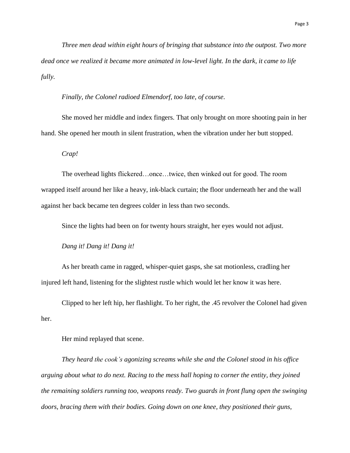*Three men dead within eight hours of bringing that substance into the outpost. Two more dead once we realized it became more animated in low-level light. In the dark, it came to life fully.* 

*Finally, the Colonel radioed Elmendorf, too late, of course.* 

She moved her middle and index fingers. That only brought on more shooting pain in her hand. She opened her mouth in silent frustration, when the vibration under her butt stopped.

*Crap!*

The overhead lights flickered…once…twice, then winked out for good. The room wrapped itself around her like a heavy, ink-black curtain; the floor underneath her and the wall against her back became ten degrees colder in less than two seconds.

Since the lights had been on for twenty hours straight, her eyes would not adjust.

*Dang it! Dang it! Dang it!*

As her breath came in ragged, whisper-quiet gasps, she sat motionless, cradling her injured left hand, listening for the slightest rustle which would let her know it was here.

Clipped to her left hip, her flashlight. To her right, the .45 revolver the Colonel had given her.

Her mind replayed that scene.

*They heard the cook's agonizing screams while she and the Colonel stood in his office arguing about what to do next. Racing to the mess hall hoping to corner the entity, they joined the remaining soldiers running too, weapons ready. Two guards in front flung open the swinging doors, bracing them with their bodies. Going down on one knee, they positioned their guns,*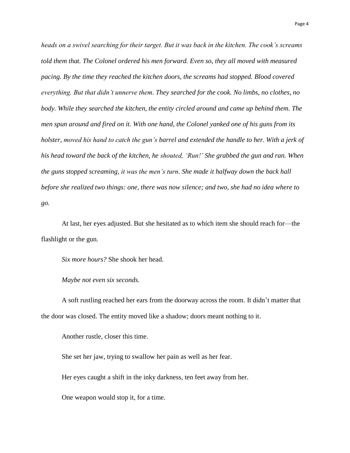*heads on a swivel searching for their target. But it was back in the kitchen. The cook's screams told them that. The Colonel ordered his men forward. Even so, they all moved with measured pacing. By the time they reached the kitchen doors, the screams had stopped. Blood covered everything. But that didn't unnerve them. They searched for the cook. No limbs, no clothes, no body. While they searched the kitchen, the entity circled around and came up behind them. The men spun around and fired on it. With one hand, the Colonel yanked one of his guns from its holster, moved his hand to catch the gun's barrel and extended the handle to her. With a jerk of his head toward the back of the kitchen, he shouted, 'Run!' She grabbed the gun and ran. When the guns stopped screaming, it was the men's turn. She made it halfway down the back hall before she realized two things: one, there was now silence; and two, she had no idea where to go.* 

At last, her eyes adjusted. But she hesitated as to which item she should reach for—the flashlight or the gun.

*Six more hours?* She shook her head.

*Maybe not even six seconds.*

A soft rustling reached her ears from the doorway across the room. It didn't matter that the door was closed. The entity moved like a shadow; doors meant nothing to it.

Another rustle, closer this time.

She set her jaw, trying to swallow her pain as well as her fear.

Her eyes caught a shift in the inky darkness, ten feet away from her.

One weapon would stop it, for a time.